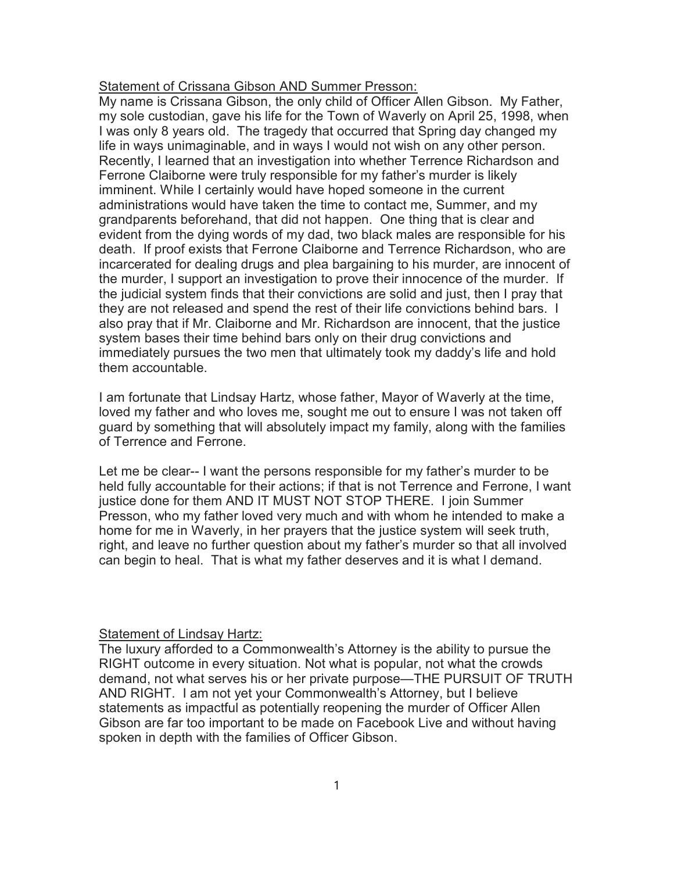## Statement of Crissana Gibson AND Summer Presson:

My name is Crissana Gibson, the only child of Officer Allen Gibson. My Father, my sole custodian, gave his life for the Town of Waverly on April 25, 1998, when I was only 8 years old. The tragedy that occurred that Spring day changed my life in ways unimaginable, and in ways I would not wish on any other person. Recently, I learned that an investigation into whether Terrence Richardson and Ferrone Claiborne were truly responsible for my father's murder is likely imminent. While I certainly would have hoped someone in the current administrations would have taken the time to contact me, Summer, and my grandparents beforehand, that did not happen. One thing that is clear and evident from the dying words of my dad, two black males are responsible for his death. If proof exists that Ferrone Claiborne and Terrence Richardson, who are incarcerated for dealing drugs and plea bargaining to his murder, are innocent of the murder, I support an investigation to prove their innocence of the murder. If the judicial system finds that their convictions are solid and just, then I pray that they are not released and spend the rest of their life convictions behind bars. I also pray that if Mr. Claiborne and Mr. Richardson are innocent, that the justice system bases their time behind bars only on their drug convictions and immediately pursues the two men that ultimately took my daddy's life and hold them accountable.

I am fortunate that Lindsay Hartz, whose father, Mayor of Waverly at the time, loved my father and who loves me, sought me out to ensure I was not taken off guard by something that will absolutely impact my family, along with the families of Terrence and Ferrone.

Let me be clear-- I want the persons responsible for my father's murder to be held fully accountable for their actions; if that is not Terrence and Ferrone, I want justice done for them AND IT MUST NOT STOP THERE. I join Summer Presson, who my father loved very much and with whom he intended to make a home for me in Waverly, in her prayers that the justice system will seek truth, right, and leave no further question about my father's murder so that all involved can begin to heal. That is what my father deserves and it is what I demand.

## **Statement of Lindsay Hartz:**

The luxury afforded to a Commonwealth's Attorney is the ability to pursue the RIGHT outcome in every situation. Not what is popular, not what the crowds demand, not what serves his or her private purpose—THE PURSUIT OF TRUTH AND RIGHT. I am not yet your Commonwealth's Attorney, but I believe statements as impactful as potentially reopening the murder of Officer Allen Gibson are far too important to be made on Facebook Live and without having spoken in depth with the families of Officer Gibson.